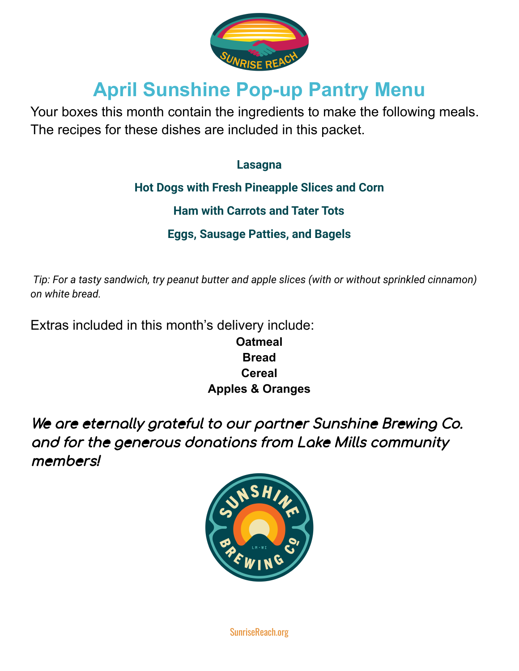

# **April Sunshine Pop-up Pantry Menu**

Your boxes this month contain the ingredients to make the following meals. The recipes for these dishes are included in this packet.

## **Lasagna**

**Hot Dogs with Fresh Pineapple Slices and Corn**

**Ham with Carrots and Tater Tots**

**Eggs, Sausage Patties, and Bagels**

*Tip: For a tasty sandwich, try peanut butter and apple slices (with or without sprinkled cinnamon) on white bread.*

Extras included in this month's delivery include:

**Oatmeal Bread Cereal Apples & Oranges**

We are eternally grateful to our partner Sunshine Brewing Co. and for the generous donations from Lake Mills community members!



SunriseReach.org